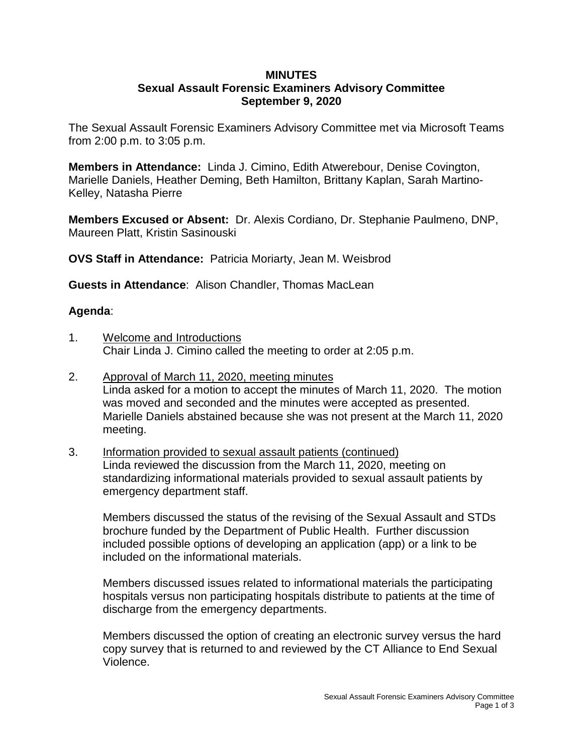#### **MINUTES Sexual Assault Forensic Examiners Advisory Committee September 9, 2020**

The Sexual Assault Forensic Examiners Advisory Committee met via Microsoft Teams from 2:00 p.m. to 3:05 p.m.

**Members in Attendance:** Linda J. Cimino, Edith Atwerebour, Denise Covington, Marielle Daniels, Heather Deming, Beth Hamilton, Brittany Kaplan, Sarah Martino-Kelley, Natasha Pierre

**Members Excused or Absent:** Dr. Alexis Cordiano, Dr. Stephanie Paulmeno, DNP, Maureen Platt, Kristin Sasinouski

**OVS Staff in Attendance:** Patricia Moriarty, Jean M. Weisbrod

**Guests in Attendance**: Alison Chandler, Thomas MacLean

# **Agenda**:

- 1. Welcome and Introductions Chair Linda J. Cimino called the meeting to order at 2:05 p.m.
- 2. Approval of March 11, 2020, meeting minutes Linda asked for a motion to accept the minutes of March 11, 2020. The motion was moved and seconded and the minutes were accepted as presented. Marielle Daniels abstained because she was not present at the March 11, 2020 meeting.
- 3. Information provided to sexual assault patients (continued) Linda reviewed the discussion from the March 11, 2020, meeting on standardizing informational materials provided to sexual assault patients by emergency department staff.

Members discussed the status of the revising of the Sexual Assault and STDs brochure funded by the Department of Public Health. Further discussion included possible options of developing an application (app) or a link to be included on the informational materials.

Members discussed issues related to informational materials the participating hospitals versus non participating hospitals distribute to patients at the time of discharge from the emergency departments.

Members discussed the option of creating an electronic survey versus the hard copy survey that is returned to and reviewed by the CT Alliance to End Sexual Violence.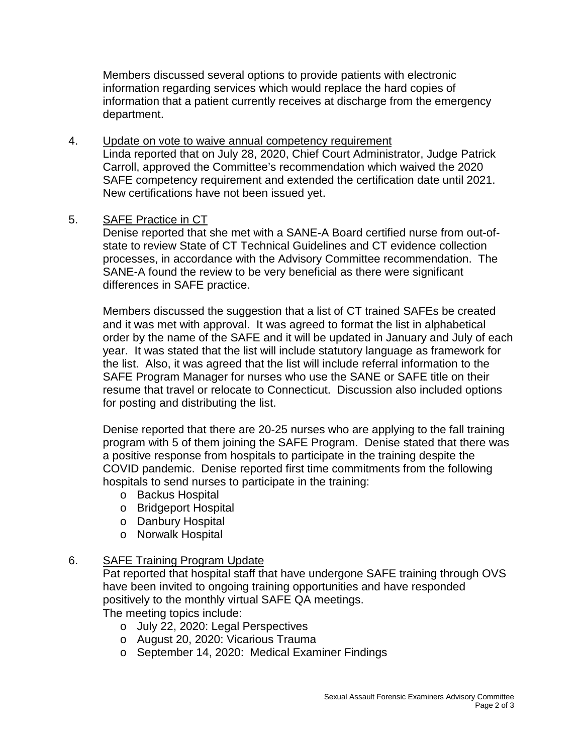Members discussed several options to provide patients with electronic information regarding services which would replace the hard copies of information that a patient currently receives at discharge from the emergency department.

4. Update on vote to waive annual competency requirement Linda reported that on July 28, 2020, Chief Court Administrator, Judge Patrick Carroll, approved the Committee's recommendation which waived the 2020 SAFE competency requirement and extended the certification date until 2021. New certifications have not been issued yet.

# 5. SAFE Practice in CT

Denise reported that she met with a SANE-A Board certified nurse from out-ofstate to review State of CT Technical Guidelines and CT evidence collection processes, in accordance with the Advisory Committee recommendation. The SANE-A found the review to be very beneficial as there were significant differences in SAFE practice.

Members discussed the suggestion that a list of CT trained SAFEs be created and it was met with approval. It was agreed to format the list in alphabetical order by the name of the SAFE and it will be updated in January and July of each year. It was stated that the list will include statutory language as framework for the list. Also, it was agreed that the list will include referral information to the SAFE Program Manager for nurses who use the SANE or SAFE title on their resume that travel or relocate to Connecticut. Discussion also included options for posting and distributing the list.

Denise reported that there are 20-25 nurses who are applying to the fall training program with 5 of them joining the SAFE Program. Denise stated that there was a positive response from hospitals to participate in the training despite the COVID pandemic. Denise reported first time commitments from the following hospitals to send nurses to participate in the training:

- o Backus Hospital
- o Bridgeport Hospital
- o Danbury Hospital
- o Norwalk Hospital

### 6. SAFE Training Program Update

Pat reported that hospital staff that have undergone SAFE training through OVS have been invited to ongoing training opportunities and have responded positively to the monthly virtual SAFE QA meetings. The meeting topics include:

- o July 22, 2020: Legal Perspectives
- o August 20, 2020: Vicarious Trauma
- o September 14, 2020: Medical Examiner Findings